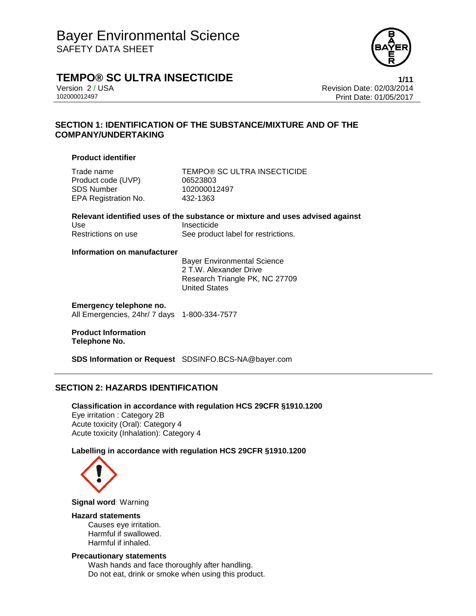

### **TEMPO® SC ULTRA INSECTICIDE 1/11**

Version 2 / USA Revision Date: 02/03/2014 102000012497 Print Date: 01/05/2017

### **SECTION 1: IDENTIFICATION OF THE SUBSTANCE/MIXTURE AND OF THE COMPANY/UNDERTAKING**

### **Product identifier**

Product code (UVP) 06523803 SDS Number 102000012497 EPA Registration No. 432-1363

Trade name TEMPO® SC ULTRA INSECTICIDE

**Relevant identified uses of the substance or mixture and uses advised against** Use Insecticide Restrictions on use See product label for restrictions.

### **Information on manufacturer**

Bayer Environmental Science 2 T.W. Alexander Drive Research Triangle PK, NC 27709 United States

**Emergency telephone no.** All Emergencies, 24hr/ 7 days 1-800-334-7577

### **Product Information Telephone No.**

**SDS Information or Request** SDSINFO.BCS-NA@bayer.com

### **SECTION 2: HAZARDS IDENTIFICATION**

**Classification in accordance with regulation HCS 29CFR §1910.1200** Eye irritation : Category 2B Acute toxicity (Oral): Category 4 Acute toxicity (Inhalation): Category 4

### **Labelling in accordance with regulation HCS 29CFR §1910.1200**



**Signal word**: Warning

### **Hazard statements**

Causes eye irritation. Harmful if swallowed. Harmful if inhaled.

### **Precautionary statements**

Wash hands and face thoroughly after handling. Do not eat, drink or smoke when using this product.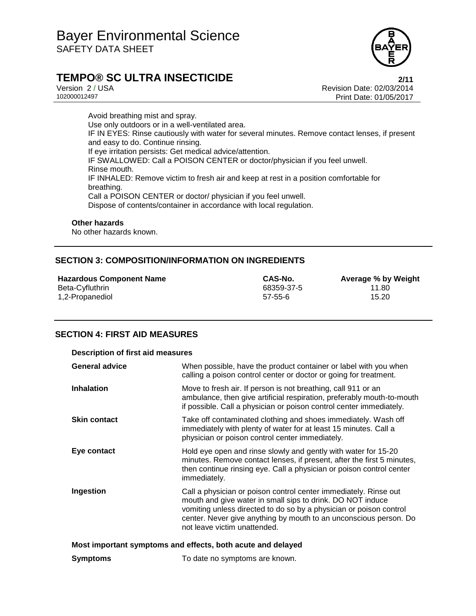

# **TEMPO® SC ULTRA INSECTICIDE 2/11**

Version 2 / USA Revision Date: 02/03/2014<br>102000012497 Print Date: 01/05/2017 Print Date: 01/05/2017

Avoid breathing mist and spray. Use only outdoors or in a well-ventilated area. IF IN EYES: Rinse cautiously with water for several minutes. Remove contact lenses, if present and easy to do. Continue rinsing. If eye irritation persists: Get medical advice/attention. IF SWALLOWED: Call a POISON CENTER or doctor/physician if you feel unwell. Rinse mouth. IF INHALED: Remove victim to fresh air and keep at rest in a position comfortable for breathing. Call a POISON CENTER or doctor/ physician if you feel unwell. Dispose of contents/container in accordance with local regulation.

### **Other hazards**

No other hazards known.

### **SECTION 3: COMPOSITION/INFORMATION ON INGREDIENTS**

| <b>Hazardous Component Name</b> | CAS-No.    | Average % by Weight |
|---------------------------------|------------|---------------------|
| Beta-Cyfluthrin                 | 68359-37-5 | 11.80               |
| 1,2-Propanediol                 | 57-55-6    | 15.20               |

### **SECTION 4: FIRST AID MEASURES**

| <b>Description of first aid measures</b>                    |                                                                                                                                                                                                                                                                                                           |  |
|-------------------------------------------------------------|-----------------------------------------------------------------------------------------------------------------------------------------------------------------------------------------------------------------------------------------------------------------------------------------------------------|--|
| <b>General advice</b>                                       | When possible, have the product container or label with you when<br>calling a poison control center or doctor or going for treatment.                                                                                                                                                                     |  |
| <b>Inhalation</b>                                           | Move to fresh air. If person is not breathing, call 911 or an<br>ambulance, then give artificial respiration, preferably mouth-to-mouth<br>if possible. Call a physician or poison control center immediately.                                                                                            |  |
| <b>Skin contact</b>                                         | Take off contaminated clothing and shoes immediately. Wash off<br>immediately with plenty of water for at least 15 minutes. Call a<br>physician or poison control center immediately.                                                                                                                     |  |
| Eye contact                                                 | Hold eye open and rinse slowly and gently with water for 15-20<br>minutes. Remove contact lenses, if present, after the first 5 minutes,<br>then continue rinsing eye. Call a physician or poison control center<br>immediately.                                                                          |  |
| <b>Ingestion</b>                                            | Call a physician or poison control center immediately. Rinse out<br>mouth and give water in small sips to drink. DO NOT induce<br>vomiting unless directed to do so by a physician or poison control<br>center. Never give anything by mouth to an unconscious person. Do<br>not leave victim unattended. |  |
| Most important symptoms and effects, both acute and delayed |                                                                                                                                                                                                                                                                                                           |  |
| <b>Symptoms</b>                                             | To date no symptoms are known.                                                                                                                                                                                                                                                                            |  |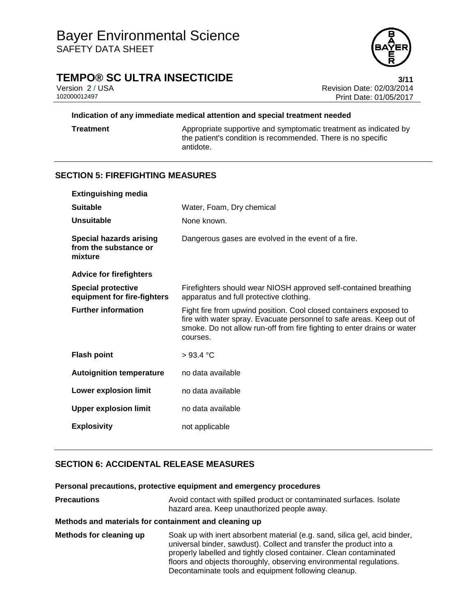

## **TEMPO® SC ULTRA INSECTICIDE 3/11**

Version 2 / USA Revision Date: 02/03/2014<br>102000012497 Print Date: 01/05/2017 Print Date: 01/05/2017

### **Indication of any immediate medical attention and special treatment needed**

**Treatment** Appropriate supportive and symptomatic treatment as indicated by the patient's condition is recommended. There is no specific antidote.

### **SECTION 5: FIREFIGHTING MEASURES**

| <b>Extinguishing media</b>                                         |                                                                                                                                                                                                                                   |
|--------------------------------------------------------------------|-----------------------------------------------------------------------------------------------------------------------------------------------------------------------------------------------------------------------------------|
| <b>Suitable</b>                                                    | Water, Foam, Dry chemical                                                                                                                                                                                                         |
| <b>Unsuitable</b>                                                  | None known.                                                                                                                                                                                                                       |
| <b>Special hazards arising</b><br>from the substance or<br>mixture | Dangerous gases are evolved in the event of a fire.                                                                                                                                                                               |
| <b>Advice for firefighters</b>                                     |                                                                                                                                                                                                                                   |
| <b>Special protective</b><br>equipment for fire-fighters           | Firefighters should wear NIOSH approved self-contained breathing<br>apparatus and full protective clothing.                                                                                                                       |
| <b>Further information</b>                                         | Fight fire from upwind position. Cool closed containers exposed to<br>fire with water spray. Evacuate personnel to safe areas. Keep out of<br>smoke. Do not allow run-off from fire fighting to enter drains or water<br>courses. |
| <b>Flash point</b>                                                 | >93.4 °C                                                                                                                                                                                                                          |
| <b>Autoignition temperature</b>                                    | no data available                                                                                                                                                                                                                 |
| <b>Lower explosion limit</b>                                       | no data available                                                                                                                                                                                                                 |
| <b>Upper explosion limit</b>                                       | no data available                                                                                                                                                                                                                 |
| <b>Explosivity</b>                                                 | not applicable                                                                                                                                                                                                                    |

### **SECTION 6: ACCIDENTAL RELEASE MEASURES**

### **Personal precautions, protective equipment and emergency procedures**

| <b>Precautions</b>                                    | Avoid contact with spilled product or contaminated surfaces. Isolate<br>hazard area. Keep unauthorized people away.                                                                                                     |
|-------------------------------------------------------|-------------------------------------------------------------------------------------------------------------------------------------------------------------------------------------------------------------------------|
| Methods and materials for containment and cleaning up |                                                                                                                                                                                                                         |
| Methods for cleaning up                               | Soak up with inert absorbent material (e.g. sand, silica gel, acid binder,<br>universal binder, sawdust). Collect and transfer the product into a<br>properly labelled and tightly closed container. Clean contaminated |

floors and objects thoroughly, observing environmental regulations. Decontaminate tools and equipment following cleanup.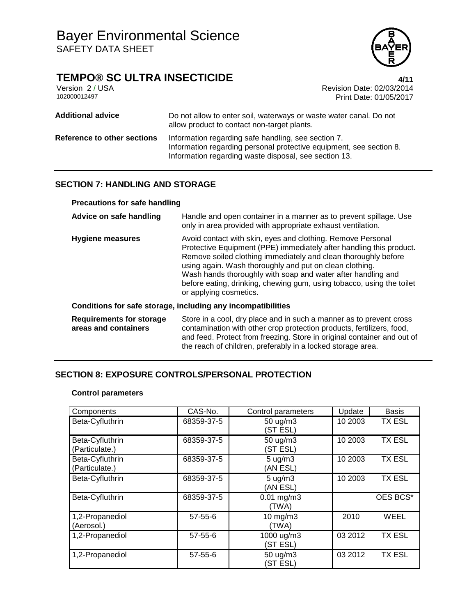# **TEMPO® SC ULTRA INSECTICIDE**<br>Version 2/USA **1/11**<br>Revision Date: 02/03/2014

Version 2 / USA **Version 2 / USA Revision Date: 02/03/2014**<br>102000012497 **Print Date: 01/05/2017** Print Date: 01/05/2017

| <b>Additional advice</b>    | Do not allow to enter soil, waterways or waste water canal. Do not<br>allow product to contact non-target plants.                                                                   |
|-----------------------------|-------------------------------------------------------------------------------------------------------------------------------------------------------------------------------------|
| Reference to other sections | Information regarding safe handling, see section 7.<br>Information regarding personal protective equipment, see section 8.<br>Information regarding waste disposal, see section 13. |

### **SECTION 7: HANDLING AND STORAGE**

### **Precautions for safe handling**

| Advice on safe handling                                 | Handle and open container in a manner as to prevent spillage. Use<br>only in area provided with appropriate exhaust ventilation.                                                                                                                                                                                                                                                                                                   |
|---------------------------------------------------------|------------------------------------------------------------------------------------------------------------------------------------------------------------------------------------------------------------------------------------------------------------------------------------------------------------------------------------------------------------------------------------------------------------------------------------|
| <b>Hygiene measures</b>                                 | Avoid contact with skin, eyes and clothing. Remove Personal<br>Protective Equipment (PPE) immediately after handling this product.<br>Remove soiled clothing immediately and clean thoroughly before<br>using again. Wash thoroughly and put on clean clothing.<br>Wash hands thoroughly with soap and water after handling and<br>before eating, drinking, chewing gum, using tobacco, using the toilet<br>or applying cosmetics. |
|                                                         | Conditions for safe storage, including any incompatibilities                                                                                                                                                                                                                                                                                                                                                                       |
| <b>Requirements for storage</b><br>areas and containers | Store in a cool, dry place and in such a manner as to prevent cross<br>contamination with other crop protection products, fertilizers, food,<br>and feed. Protect from freezing. Store in original container and out of<br>the reach of children, preferably in a locked storage area.                                                                                                                                             |

### **SECTION 8: EXPOSURE CONTROLS/PERSONAL PROTECTION**

### **Control parameters**

| Components                        | CAS-No.       | Control parameters             | Update  | <b>Basis</b>  |
|-----------------------------------|---------------|--------------------------------|---------|---------------|
| Beta-Cyfluthrin                   | 68359-37-5    | 50 ug/m3<br>(ST ESL)           | 10 2003 | <b>TX ESL</b> |
| Beta-Cyfluthrin<br>(Particulate.) | 68359-37-5    | 50 ug/m3<br>(ST ESL)           | 10 2003 | <b>TX ESL</b> |
| Beta-Cyfluthrin<br>(Particulate.) | 68359-37-5    | $5 \text{ ug/m}$ 3<br>(AN ESL) | 10 2003 | <b>TX ESL</b> |
| Beta-Cyfluthrin                   | 68359-37-5    | $5 \text{ ug/m}$ 3<br>(AN ESL) | 10 2003 | <b>TX ESL</b> |
| Beta-Cyfluthrin                   | 68359-37-5    | $0.01$ mg/m $3$<br>(TWA)       |         | OES BCS*      |
| 1,2-Propanediol<br>(Aerosol.)     | $57 - 55 - 6$ | 10 mg/m3<br>(TWA)              | 2010    | WEEL          |
| 1,2-Propanediol                   | $57 - 55 - 6$ | 1000 ug/m3<br>(ST ESL)         | 03 2012 | <b>TX ESL</b> |
| 1,2-Propanediol                   | $57 - 55 - 6$ | 50 ug/m3<br>(ST ESL)           | 03 2012 | <b>TX ESL</b> |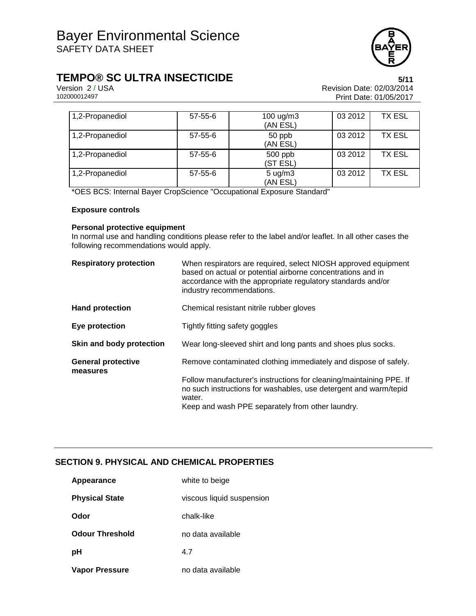

# **TEMPO® SC ULTRA INSECTICIDE**<br>Version 2/USA **by Careford Prevision Date:** 02/03/2014

Version 2 / USA **Version 2 / USA Revision Date: 02/03/2014**<br>102000012497 **Print Date: 01/05/2017** Print Date: 01/05/2017

| 1,2-Propanediol | $57 - 55 - 6$ | $100 \text{ ug/m}$ 3<br>(AN ESL) | 03 2012 | TX ESL        |
|-----------------|---------------|----------------------------------|---------|---------------|
| 1,2-Propanediol | $57 - 55 - 6$ | 50 ppb<br>(AN ESL)               | 03 2012 | <b>TX ESL</b> |
| 1,2-Propanediol | $57 - 55 - 6$ | $500$ ppb<br>(ST ESL)            | 03 2012 | <b>TX ESL</b> |
| 1,2-Propanediol | $57 - 55 - 6$ | $5 \text{ ug/m}$ 3<br>(AN ESL)   | 03 2012 | <b>TX ESL</b> |

\*OES BCS: Internal Bayer CropScience "Occupational Exposure Standard"

### **Exposure controls**

### **Personal protective equipment**

In normal use and handling conditions please refer to the label and/or leaflet. In all other cases the following recommendations would apply.

| <b>Respiratory protection</b>         | When respirators are required, select NIOSH approved equipment<br>based on actual or potential airborne concentrations and in<br>accordance with the appropriate regulatory standards and/or<br>industry recommendations. |
|---------------------------------------|---------------------------------------------------------------------------------------------------------------------------------------------------------------------------------------------------------------------------|
| <b>Hand protection</b>                | Chemical resistant nitrile rubber gloves                                                                                                                                                                                  |
| Eye protection                        | Tightly fitting safety goggles                                                                                                                                                                                            |
| Skin and body protection              | Wear long-sleeved shirt and long pants and shoes plus socks.                                                                                                                                                              |
| <b>General protective</b><br>measures | Remove contaminated clothing immediately and dispose of safely.                                                                                                                                                           |
|                                       | Follow manufacturer's instructions for cleaning/maintaining PPE. If<br>no such instructions for washables, use detergent and warm/tepid<br>water.                                                                         |
|                                       | Keep and wash PPE separately from other laundry.                                                                                                                                                                          |

### **SECTION 9. PHYSICAL AND CHEMICAL PROPERTIES**

| Appearance             | white to beige            |
|------------------------|---------------------------|
| <b>Physical State</b>  | viscous liquid suspension |
| Odor                   | chalk-like                |
| <b>Odour Threshold</b> | no data available         |
| рH                     | 4.7                       |
| <b>Vapor Pressure</b>  | no data available         |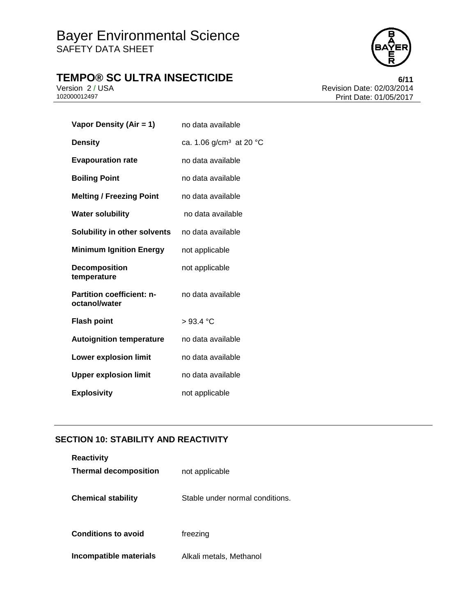# **TEMPO® SC ULTRA INSECTICIDE**<br>Version 2/USA **by Careford Revision Date: 02/03/2014**



Version 2 / USA Revision Date: 02/03/2014 Print Date: 01/05/2017

| Vapor Density (Air = 1)                           | no data available                   |
|---------------------------------------------------|-------------------------------------|
| <b>Density</b>                                    | ca. 1.06 g/cm <sup>3</sup> at 20 °C |
| <b>Evapouration rate</b>                          | no data available                   |
| <b>Boiling Point</b>                              | no data available                   |
| <b>Melting / Freezing Point</b>                   | no data available                   |
| <b>Water solubility</b>                           | no data available                   |
| Solubility in other solvents                      | no data available                   |
| <b>Minimum Ignition Energy</b>                    | not applicable                      |
| <b>Decomposition</b><br>temperature               | not applicable                      |
| <b>Partition coefficient: n-</b><br>octanol/water | no data available                   |
| <b>Flash point</b>                                | >93.4 °C                            |
| <b>Autoignition temperature</b>                   | no data available                   |
| <b>Lower explosion limit</b>                      | no data available                   |
| <b>Upper explosion limit</b>                      | no data available                   |
| <b>Explosivity</b>                                | not applicable                      |

### **SECTION 10: STABILITY AND REACTIVITY**

| <b>Reactivity</b>            |                                 |
|------------------------------|---------------------------------|
| <b>Thermal decomposition</b> | not applicable                  |
|                              |                                 |
| <b>Chemical stability</b>    | Stable under normal conditions. |
|                              |                                 |
| <b>Conditions to avoid</b>   | freezing                        |
| Incompatible materials       | Alkali metals, Methanol         |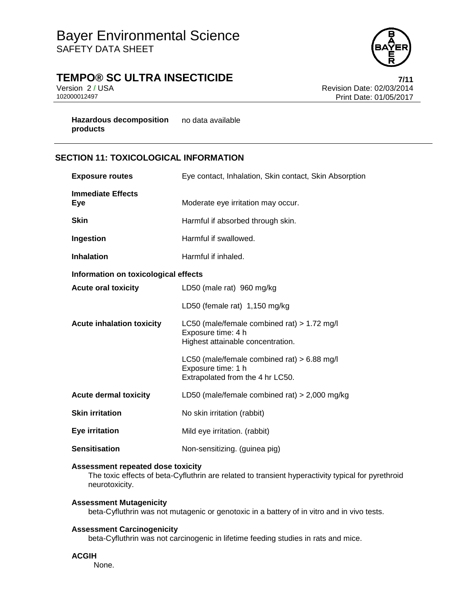

# **TEMPO® SC ULTRA INSECTICIDE 7/11**

Version 2 / USA **Version 2 / USA Revision Date: 02/03/2014**<br>102000012497 **Print Date: 01/05/2017** Print Date: 01/05/2017

**Hazardous decomposition**  no data available **products**

### **SECTION 11: TOXICOLOGICAL INFORMATION**

| <b>Exposure routes</b>               | Eye contact, Inhalation, Skin contact, Skin Absorption                                                   |  |  |  |  |  |
|--------------------------------------|----------------------------------------------------------------------------------------------------------|--|--|--|--|--|
| <b>Immediate Effects</b><br>Eye      | Moderate eye irritation may occur.                                                                       |  |  |  |  |  |
| <b>Skin</b>                          | Harmful if absorbed through skin.                                                                        |  |  |  |  |  |
| Ingestion                            | Harmful if swallowed.                                                                                    |  |  |  |  |  |
| <b>Inhalation</b>                    | Harmful if inhaled.                                                                                      |  |  |  |  |  |
| Information on toxicological effects |                                                                                                          |  |  |  |  |  |
| <b>Acute oral toxicity</b>           | LD50 (male rat) 960 mg/kg                                                                                |  |  |  |  |  |
|                                      | LD50 (female rat) 1,150 mg/kg                                                                            |  |  |  |  |  |
| <b>Acute inhalation toxicity</b>     | LC50 (male/female combined rat) $> 1.72$ mg/l<br>Exposure time: 4 h<br>Highest attainable concentration. |  |  |  |  |  |
|                                      | LC50 (male/female combined rat) > 6.88 mg/l<br>Exposure time: 1 h<br>Extrapolated from the 4 hr LC50.    |  |  |  |  |  |
| <b>Acute dermal toxicity</b>         | LD50 (male/female combined rat) $> 2,000$ mg/kg                                                          |  |  |  |  |  |
| <b>Skin irritation</b>               | No skin irritation (rabbit)                                                                              |  |  |  |  |  |
| Eye irritation                       | Mild eye irritation. (rabbit)                                                                            |  |  |  |  |  |
| <b>Sensitisation</b>                 | Non-sensitizing. (guinea pig)                                                                            |  |  |  |  |  |

### **Assessment repeated dose toxicity**

The toxic effects of beta-Cyfluthrin are related to transient hyperactivity typical for pyrethroid neurotoxicity.

### **Assessment Mutagenicity**

beta-Cyfluthrin was not mutagenic or genotoxic in a battery of in vitro and in vivo tests.

### **Assessment Carcinogenicity**

beta-Cyfluthrin was not carcinogenic in lifetime feeding studies in rats and mice.

#### **ACGIH**

None.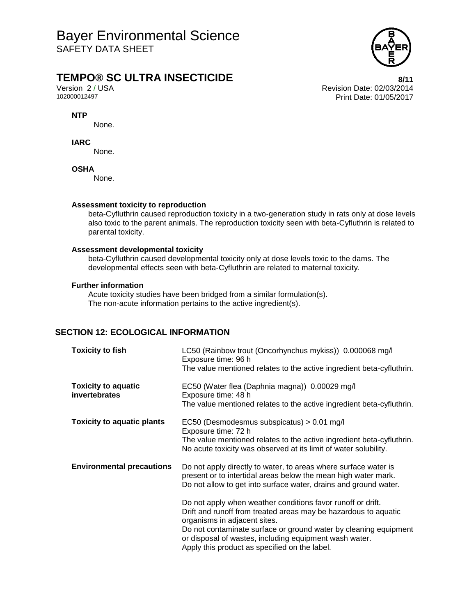

### **TEMPO® SC ULTRA INSECTICIDE 8/11**

Version 2 / USA Revision Date: 02/03/2014<br>102000012497 Print Date: 01/05/2017 Print Date: 01/05/2017

### **NTP**

None.

### **IARC**

None.

### **OSHA**

None.

### **Assessment toxicity to reproduction**

beta-Cyfluthrin caused reproduction toxicity in a two-generation study in rats only at dose levels also toxic to the parent animals. The reproduction toxicity seen with beta-Cyfluthrin is related to parental toxicity.

### **Assessment developmental toxicity**

beta-Cyfluthrin caused developmental toxicity only at dose levels toxic to the dams. The developmental effects seen with beta-Cyfluthrin are related to maternal toxicity.

### **Further information**

Acute toxicity studies have been bridged from a similar formulation(s). The non-acute information pertains to the active ingredient(s).

### **SECTION 12: ECOLOGICAL INFORMATION**

| <b>Toxicity to fish</b>                     | LC50 (Rainbow trout (Oncorhynchus mykiss)) 0.000068 mg/l<br>Exposure time: 96 h<br>The value mentioned relates to the active ingredient beta-cyfluthrin.                                                                                                                                                                                                                                                                                                                                                                                               |
|---------------------------------------------|--------------------------------------------------------------------------------------------------------------------------------------------------------------------------------------------------------------------------------------------------------------------------------------------------------------------------------------------------------------------------------------------------------------------------------------------------------------------------------------------------------------------------------------------------------|
| <b>Toxicity to aquatic</b><br>invertebrates | EC50 (Water flea (Daphnia magna)) 0.00029 mg/l<br>Exposure time: 48 h<br>The value mentioned relates to the active ingredient beta-cyfluthrin.                                                                                                                                                                                                                                                                                                                                                                                                         |
| <b>Toxicity to aquatic plants</b>           | EC50 (Desmodesmus subspicatus) > 0.01 mg/l<br>Exposure time: 72 h<br>The value mentioned relates to the active ingredient beta-cyfluthrin.<br>No acute toxicity was observed at its limit of water solubility.                                                                                                                                                                                                                                                                                                                                         |
| <b>Environmental precautions</b>            | Do not apply directly to water, to areas where surface water is<br>present or to intertidal areas below the mean high water mark.<br>Do not allow to get into surface water, drains and ground water.<br>Do not apply when weather conditions favor runoff or drift.<br>Drift and runoff from treated areas may be hazardous to aquatic<br>organisms in adjacent sites.<br>Do not contaminate surface or ground water by cleaning equipment<br>or disposal of wastes, including equipment wash water.<br>Apply this product as specified on the label. |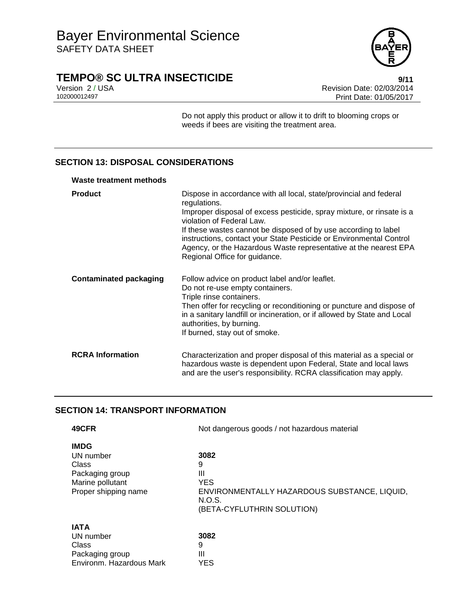

# **TEMPO® SC ULTRA INSECTICIDE**<br>Version 2/USA<br>Revision Date: 02/03/2014

Version 2 / USA **Version 2 / USA Revision Date: 02/03/2014**<br>102000012497 **Print Date: 01/05/2017** Print Date: 01/05/2017

> Do not apply this product or allow it to drift to blooming crops or weeds if bees are visiting the treatment area.

### **SECTION 13: DISPOSAL CONSIDERATIONS**

#### **Waste treatment methods**

| <b>Product</b>          | Dispose in accordance with all local, state/provincial and federal<br>regulations.<br>Improper disposal of excess pesticide, spray mixture, or rinsate is a<br>violation of Federal Law.<br>If these wastes cannot be disposed of by use according to label<br>instructions, contact your State Pesticide or Environmental Control<br>Agency, or the Hazardous Waste representative at the nearest EPA<br>Regional Office for guidance. |
|-------------------------|-----------------------------------------------------------------------------------------------------------------------------------------------------------------------------------------------------------------------------------------------------------------------------------------------------------------------------------------------------------------------------------------------------------------------------------------|
| Contaminated packaging  | Follow advice on product label and/or leaflet.<br>Do not re-use empty containers.<br>Triple rinse containers.<br>Then offer for recycling or reconditioning or puncture and dispose of<br>in a sanitary landfill or incineration, or if allowed by State and Local<br>authorities, by burning.<br>If burned, stay out of smoke.                                                                                                         |
| <b>RCRA Information</b> | Characterization and proper disposal of this material as a special or<br>hazardous waste is dependent upon Federal, State and local laws<br>and are the user's responsibility. RCRA classification may apply.                                                                                                                                                                                                                           |

### **SECTION 14: TRANSPORT INFORMATION**

| 49CFR                                                                                            | Not dangerous goods / not hazardous material                                                                         |  |  |  |  |
|--------------------------------------------------------------------------------------------------|----------------------------------------------------------------------------------------------------------------------|--|--|--|--|
| <b>IMDG</b><br>UN number<br>Class<br>Packaging group<br>Marine pollutant<br>Proper shipping name | 3082<br>9<br>Ш<br><b>YES</b><br>ENVIRONMENTALLY HAZARDOUS SUBSTANCE, LIQUID,<br>N.O.S.<br>(BETA-CYFLUTHRIN SOLUTION) |  |  |  |  |
| <b>IATA</b><br>UN number<br>Class<br>Packaging group<br>Environm, Hazardous Mark                 | 3082<br>9<br>Ш<br><b>YES</b>                                                                                         |  |  |  |  |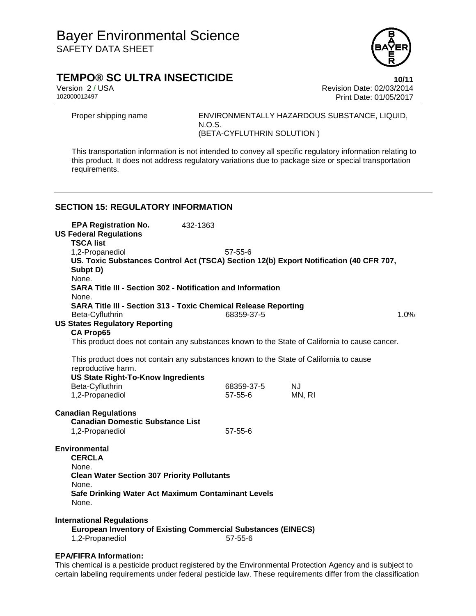

### **TEMPO® SC ULTRA INSECTICIDE 10/11**

Version 2 / USA Revision Date: 02/03/2014<br>102000012497 Print Date: 01/05/2017 Print Date: 01/05/2017

Proper shipping name ENVIRONMENTALLY HAZARDOUS SUBSTANCE, LIQUID, N.O.S. (BETA-CYFLUTHRIN SOLUTION )

This transportation information is not intended to convey all specific regulatory information relating to this product. It does not address regulatory variations due to package size or special transportation requirements.

### **SECTION 15: REGULATORY INFORMATION**

| <b>EPA Registration No.</b><br><b>US Federal Regulations</b><br><b>TSCA list</b>                             | 432-1363                                                           |               |  |           |      |  |  |  |  |
|--------------------------------------------------------------------------------------------------------------|--------------------------------------------------------------------|---------------|--|-----------|------|--|--|--|--|
| 1,2-Propanediol                                                                                              |                                                                    | $57 - 55 - 6$ |  |           |      |  |  |  |  |
| US. Toxic Substances Control Act (TSCA) Section 12(b) Export Notification (40 CFR 707,                       |                                                                    |               |  |           |      |  |  |  |  |
| Subpt D)                                                                                                     |                                                                    |               |  |           |      |  |  |  |  |
| None.                                                                                                        |                                                                    |               |  |           |      |  |  |  |  |
|                                                                                                              | <b>SARA Title III - Section 302 - Notification and Information</b> |               |  |           |      |  |  |  |  |
| None.                                                                                                        |                                                                    |               |  |           |      |  |  |  |  |
| <b>SARA Title III - Section 313 - Toxic Chemical Release Reporting</b>                                       |                                                                    |               |  |           |      |  |  |  |  |
| Beta-Cyfluthrin                                                                                              |                                                                    | 68359-37-5    |  |           | 1.0% |  |  |  |  |
| <b>US States Regulatory Reporting</b>                                                                        |                                                                    |               |  |           |      |  |  |  |  |
| <b>CA Prop65</b>                                                                                             |                                                                    |               |  |           |      |  |  |  |  |
| This product does not contain any substances known to the State of California to cause cancer.               |                                                                    |               |  |           |      |  |  |  |  |
| This product does not contain any substances known to the State of California to cause<br>reproductive harm. |                                                                    |               |  |           |      |  |  |  |  |
| <b>US State Right-To-Know Ingredients</b>                                                                    |                                                                    |               |  |           |      |  |  |  |  |
| Beta-Cyfluthrin                                                                                              |                                                                    | 68359-37-5    |  | <b>NJ</b> |      |  |  |  |  |
| 1,2-Propanediol                                                                                              |                                                                    | 57-55-6       |  | MN, RI    |      |  |  |  |  |
| <b>Canadian Regulations</b><br><b>Canadian Domestic Substance List</b><br>1,2-Propanediol                    |                                                                    | $57 - 55 - 6$ |  |           |      |  |  |  |  |
| <b>Environmental</b>                                                                                         |                                                                    |               |  |           |      |  |  |  |  |
| <b>CERCLA</b>                                                                                                |                                                                    |               |  |           |      |  |  |  |  |
| None.                                                                                                        |                                                                    |               |  |           |      |  |  |  |  |
| <b>Clean Water Section 307 Priority Pollutants</b>                                                           |                                                                    |               |  |           |      |  |  |  |  |
| None.                                                                                                        |                                                                    |               |  |           |      |  |  |  |  |
| Safe Drinking Water Act Maximum Contaminant Levels<br>None.                                                  |                                                                    |               |  |           |      |  |  |  |  |
| <b>International Regulations</b>                                                                             |                                                                    |               |  |           |      |  |  |  |  |
| <b>European Inventory of Existing Commercial Substances (EINECS)</b><br>1,2-Propanediol<br>$57 - 55 - 6$     |                                                                    |               |  |           |      |  |  |  |  |
|                                                                                                              |                                                                    |               |  |           |      |  |  |  |  |

### **EPA/FIFRA Information:**

This chemical is a pesticide product registered by the Environmental Protection Agency and is subject to certain labeling requirements under federal pesticide law. These requirements differ from the classification